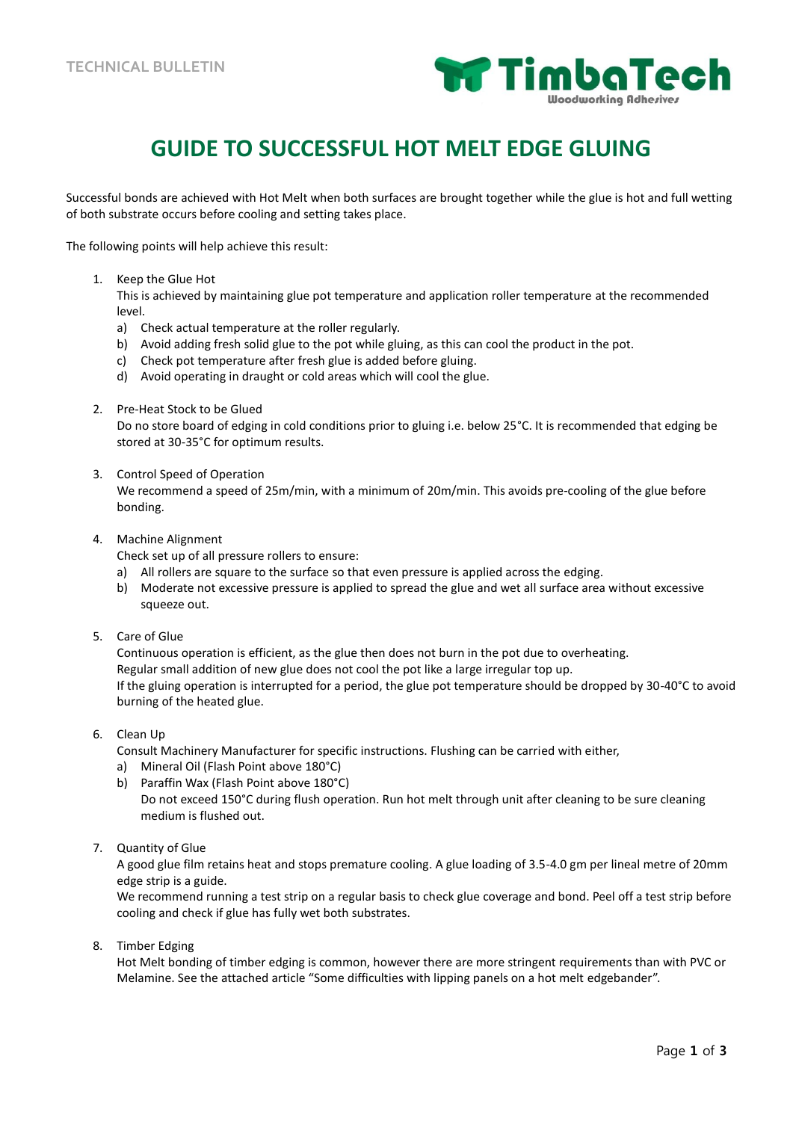

## **GUIDE TO SUCCESSFUL HOT MELT EDGE GLUING**

Successful bonds are achieved with Hot Melt when both surfaces are brought together while the glue is hot and full wetting of both substrate occurs before cooling and setting takes place.

The following points will help achieve this result:

1. Keep the Glue Hot

This is achieved by maintaining glue pot temperature and application roller temperature at the recommended level.

- a) Check actual temperature at the roller regularly.
- b) Avoid adding fresh solid glue to the pot while gluing, as this can cool the product in the pot.
- c) Check pot temperature after fresh glue is added before gluing.

d) Avoid operating in draught or cold areas which will cool the glue.

2. Pre-Heat Stock to be Glued

Do no store board of edging in cold conditions prior to gluing i.e. below 25°C. It is recommended that edging be stored at 30-35°C for optimum results.

3. Control Speed of Operation

We recommend a speed of 25m/min, with a minimum of 20m/min. This avoids pre-cooling of the glue before bonding.

- 4. Machine Alignment
	- Check set up of all pressure rollers to ensure:
	- a) All rollers are square to the surface so that even pressure is applied across the edging.
	- b) Moderate not excessive pressure is applied to spread the glue and wet all surface area without excessive squeeze out.
- 5. Care of Glue

Continuous operation is efficient, as the glue then does not burn in the pot due to overheating. Regular small addition of new glue does not cool the pot like a large irregular top up. If the gluing operation is interrupted for a period, the glue pot temperature should be dropped by 30-40°C to avoid burning of the heated glue.

6. Clean Up

Consult Machinery Manufacturer for specific instructions. Flushing can be carried with either,

- a) Mineral Oil (Flash Point above 180°C)
- b) Paraffin Wax (Flash Point above 180°C) Do not exceed 150°C during flush operation. Run hot melt through unit after cleaning to be sure cleaning medium is flushed out.
- 7. Quantity of Glue

A good glue film retains heat and stops premature cooling. A glue loading of 3.5-4.0 gm per lineal metre of 20mm edge strip is a guide.

We recommend running a test strip on a regular basis to check glue coverage and bond. Peel off a test strip before cooling and check if glue has fully wet both substrates.

8. Timber Edging

Hot Melt bonding of timber edging is common, however there are more stringent requirements than with PVC or Melamine. See the attached article "Some difficulties with lipping panels on a hot melt edgebander".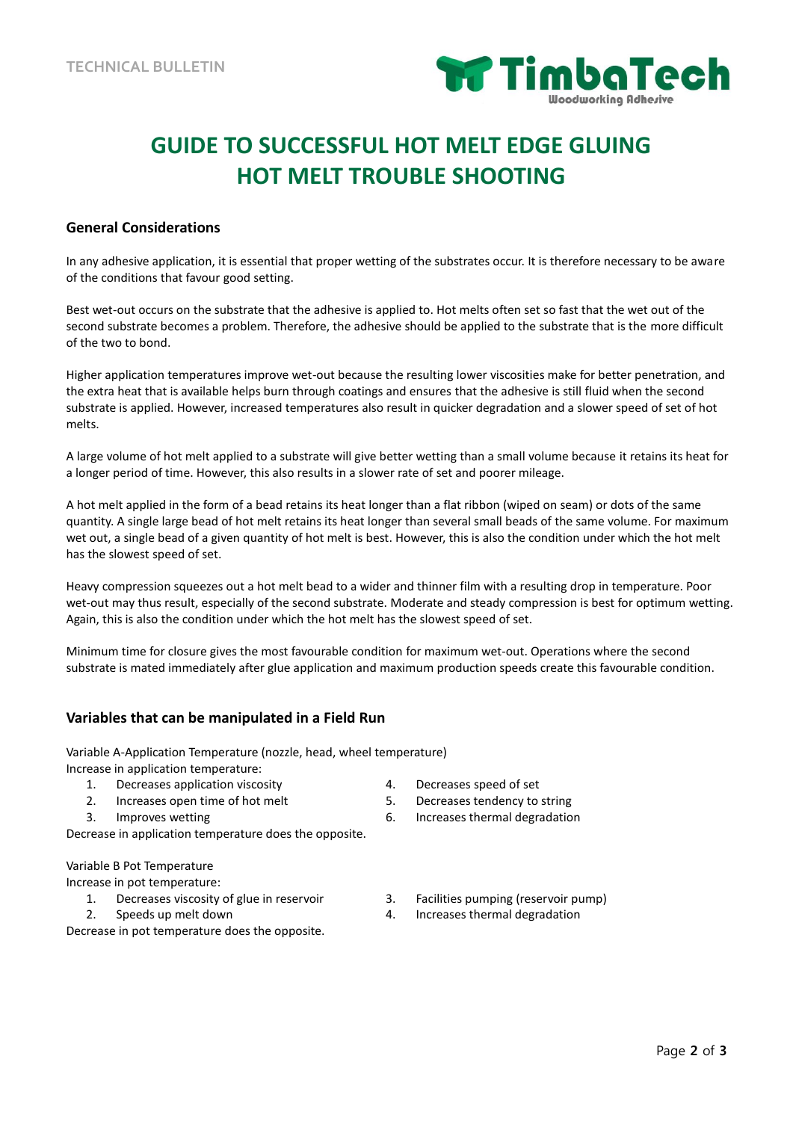

# **GUIDE TO SUCCESSFUL HOT MELT EDGE GLUING HOT MELT TROUBLE SHOOTING**

#### **General Considerations**

In any adhesive application, it is essential that proper wetting of the substrates occur. It is therefore necessary to be aware of the conditions that favour good setting.

Best wet-out occurs on the substrate that the adhesive is applied to. Hot melts often set so fast that the wet out of the second substrate becomes a problem. Therefore, the adhesive should be applied to the substrate that is the more difficult of the two to bond.

Higher application temperatures improve wet-out because the resulting lower viscosities make for better penetration, and the extra heat that is available helps burn through coatings and ensures that the adhesive is still fluid when the second substrate is applied. However, increased temperatures also result in quicker degradation and a slower speed of set of hot melts.

A large volume of hot melt applied to a substrate will give better wetting than a small volume because it retains its heat for a longer period of time. However, this also results in a slower rate of set and poorer mileage.

A hot melt applied in the form of a bead retains its heat longer than a flat ribbon (wiped on seam) or dots of the same quantity. A single large bead of hot melt retains its heat longer than several small beads of the same volume. For maximum wet out, a single bead of a given quantity of hot melt is best. However, this is also the condition under which the hot melt has the slowest speed of set.

Heavy compression squeezes out a hot melt bead to a wider and thinner film with a resulting drop in temperature. Poor wet-out may thus result, especially of the second substrate. Moderate and steady compression is best for optimum wetting. Again, this is also the condition under which the hot melt has the slowest speed of set.

Minimum time for closure gives the most favourable condition for maximum wet-out. Operations where the second substrate is mated immediately after glue application and maximum production speeds create this favourable condition.

#### **Variables that can be manipulated in a Field Run**

Variable A-Application Temperature (nozzle, head, wheel temperature) Increase in application temperature:

- 1. Decreases application viscosity 4. Decreases speed of set
- 2. Increases open time of hot melt 5. Decreases tendency to string
- 

Decrease in application temperature does the opposite.

Variable B Pot Temperature

- Increase in pot temperature:
	- 1. Decreases viscosity of glue in reservoir 3. Facilities pumping (reservoir pump)
	-

Decrease in pot temperature does the opposite.

- 
- 
- 3. Improves wetting 6. Increases thermal degradation
	-
- 2. Speeds up melt down the same control of the set of the set of the set of the set of the set of the set of the set of the set of the set of the set of the set of the set of the set of the set of the set of the set of the